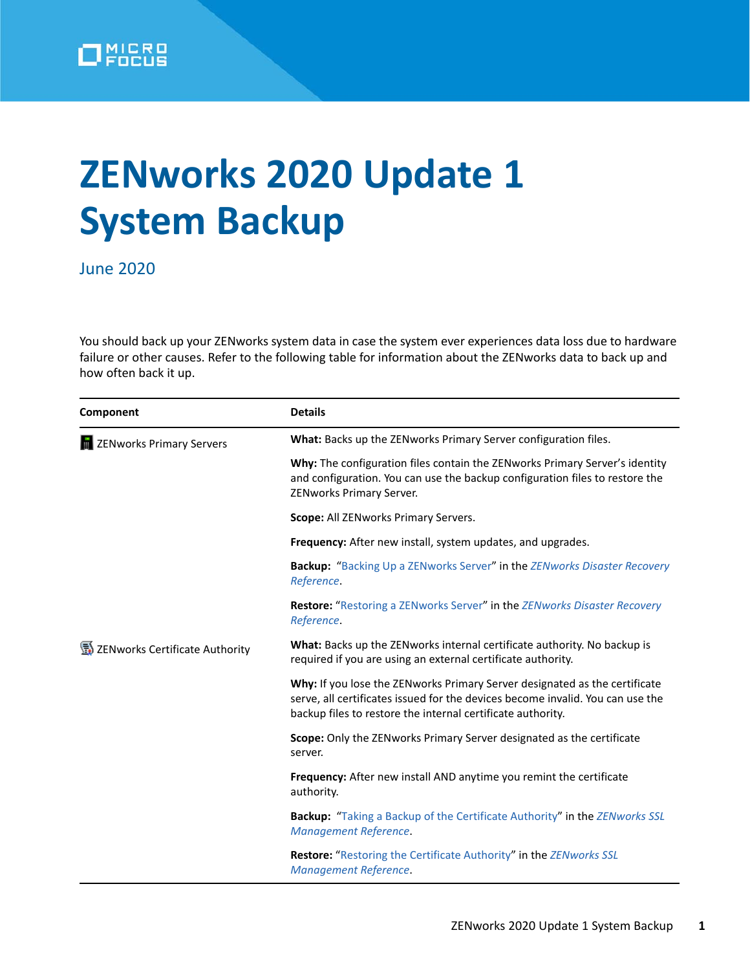

## **ZENworks 2020 Update 1 System Backup**

June 2020

You should back up your ZENworks system data in case the system ever experiences data loss due to hardware failure or other causes. Refer to the following table for information about the ZENworks data to back up and how often back it up.

| Component                           | <b>Details</b>                                                                                                                                                                                                              |
|-------------------------------------|-----------------------------------------------------------------------------------------------------------------------------------------------------------------------------------------------------------------------------|
| <b>THE ZENworks Primary Servers</b> | What: Backs up the ZENworks Primary Server configuration files.                                                                                                                                                             |
|                                     | Why: The configuration files contain the ZENworks Primary Server's identity<br>and configuration. You can use the backup configuration files to restore the<br>ZENworks Primary Server.                                     |
|                                     | Scope: All ZENworks Primary Servers.                                                                                                                                                                                        |
|                                     | Frequency: After new install, system updates, and upgrades.                                                                                                                                                                 |
|                                     | <b>Backup:</b> "Backing Up a ZENworks Server" in the ZENworks Disaster Recovery<br>Reference.                                                                                                                               |
|                                     | Restore: "Restoring a ZENworks Server" in the ZENworks Disaster Recovery<br>Reference.                                                                                                                                      |
| ZENworks Certificate Authority      | What: Backs up the ZENworks internal certificate authority. No backup is<br>required if you are using an external certificate authority.                                                                                    |
|                                     | Why: If you lose the ZENworks Primary Server designated as the certificate<br>serve, all certificates issued for the devices become invalid. You can use the<br>backup files to restore the internal certificate authority. |
|                                     | Scope: Only the ZENworks Primary Server designated as the certificate<br>server.                                                                                                                                            |
|                                     | <b>Frequency:</b> After new install AND anytime you remint the certificate<br>authority.                                                                                                                                    |
|                                     | <b>Backup:</b> "Taking a Backup of the Certificate Authority" in the ZENworks SSL<br><b>Management Reference.</b>                                                                                                           |
|                                     | <b>Restore:</b> "Restoring the Certificate Authority" in the ZENworks SSL<br><b>Management Reference.</b>                                                                                                                   |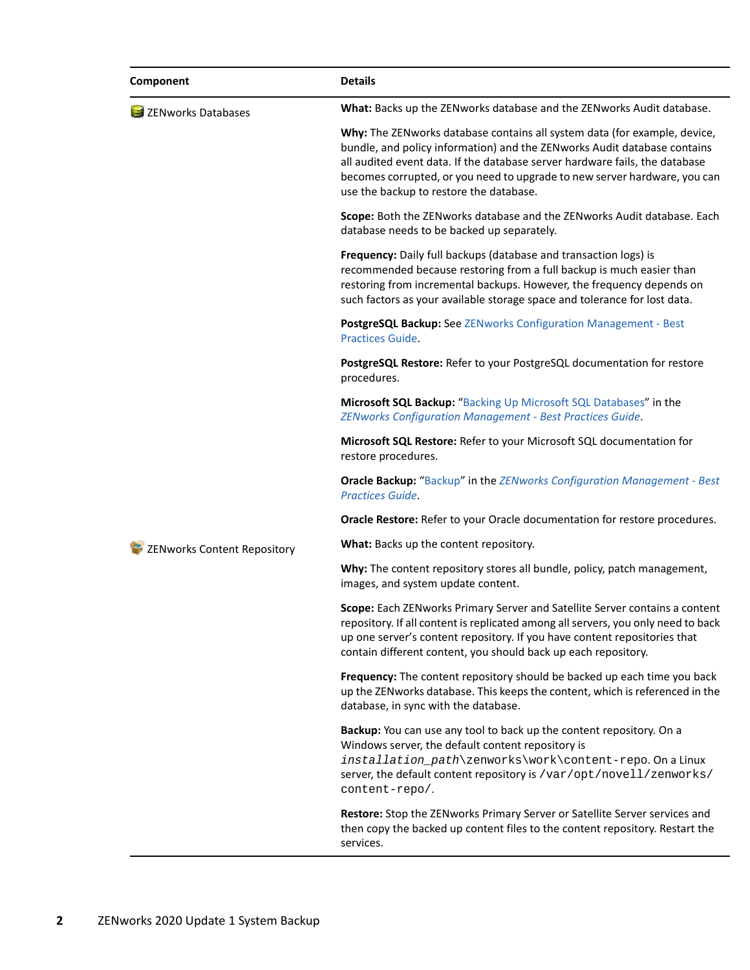| Component                          | <b>Details</b>                                                                                                                                                                                                                                                                                                                                               |
|------------------------------------|--------------------------------------------------------------------------------------------------------------------------------------------------------------------------------------------------------------------------------------------------------------------------------------------------------------------------------------------------------------|
| <b>El ZENworks Databases</b>       | What: Backs up the ZENworks database and the ZENworks Audit database.                                                                                                                                                                                                                                                                                        |
|                                    | Why: The ZENworks database contains all system data (for example, device,<br>bundle, and policy information) and the ZENworks Audit database contains<br>all audited event data. If the database server hardware fails, the database<br>becomes corrupted, or you need to upgrade to new server hardware, you can<br>use the backup to restore the database. |
|                                    | Scope: Both the ZENworks database and the ZENworks Audit database. Each<br>database needs to be backed up separately.                                                                                                                                                                                                                                        |
|                                    | Frequency: Daily full backups (database and transaction logs) is<br>recommended because restoring from a full backup is much easier than<br>restoring from incremental backups. However, the frequency depends on<br>such factors as your available storage space and tolerance for lost data.                                                               |
|                                    | PostgreSQL Backup: See ZENworks Configuration Management - Best<br><b>Practices Guide.</b>                                                                                                                                                                                                                                                                   |
|                                    | PostgreSQL Restore: Refer to your PostgreSQL documentation for restore<br>procedures.                                                                                                                                                                                                                                                                        |
|                                    | Microsoft SQL Backup: "Backing Up Microsoft SQL Databases" in the<br><b>ZENworks Configuration Management - Best Practices Guide.</b>                                                                                                                                                                                                                        |
|                                    | Microsoft SQL Restore: Refer to your Microsoft SQL documentation for<br>restore procedures.                                                                                                                                                                                                                                                                  |
|                                    | <b>Oracle Backup:</b> "Backup" in the ZENworks Configuration Management - Best<br>Practices Guide.                                                                                                                                                                                                                                                           |
|                                    | Oracle Restore: Refer to your Oracle documentation for restore procedures.                                                                                                                                                                                                                                                                                   |
| <b>ZENworks Content Repository</b> | What: Backs up the content repository.                                                                                                                                                                                                                                                                                                                       |
|                                    | Why: The content repository stores all bundle, policy, patch management,<br>images, and system update content.                                                                                                                                                                                                                                               |
|                                    | Scope: Each ZENworks Primary Server and Satellite Server contains a content<br>repository. If all content is replicated among all servers, you only need to back<br>up one server's content repository. If you have content repositories that<br>contain different content, you should back up each repository.                                              |
|                                    | Frequency: The content repository should be backed up each time you back<br>up the ZENworks database. This keeps the content, which is referenced in the<br>database, in sync with the database.                                                                                                                                                             |
|                                    | Backup: You can use any tool to back up the content repository. On a<br>Windows server, the default content repository is<br>installation_path\zenworks\work\content-repo. On a Linux<br>server, the default content repository is /var/opt/novell/zenworks/<br>content-repo/.                                                                               |
|                                    | Restore: Stop the ZENworks Primary Server or Satellite Server services and<br>then copy the backed up content files to the content repository. Restart the<br>services.                                                                                                                                                                                      |